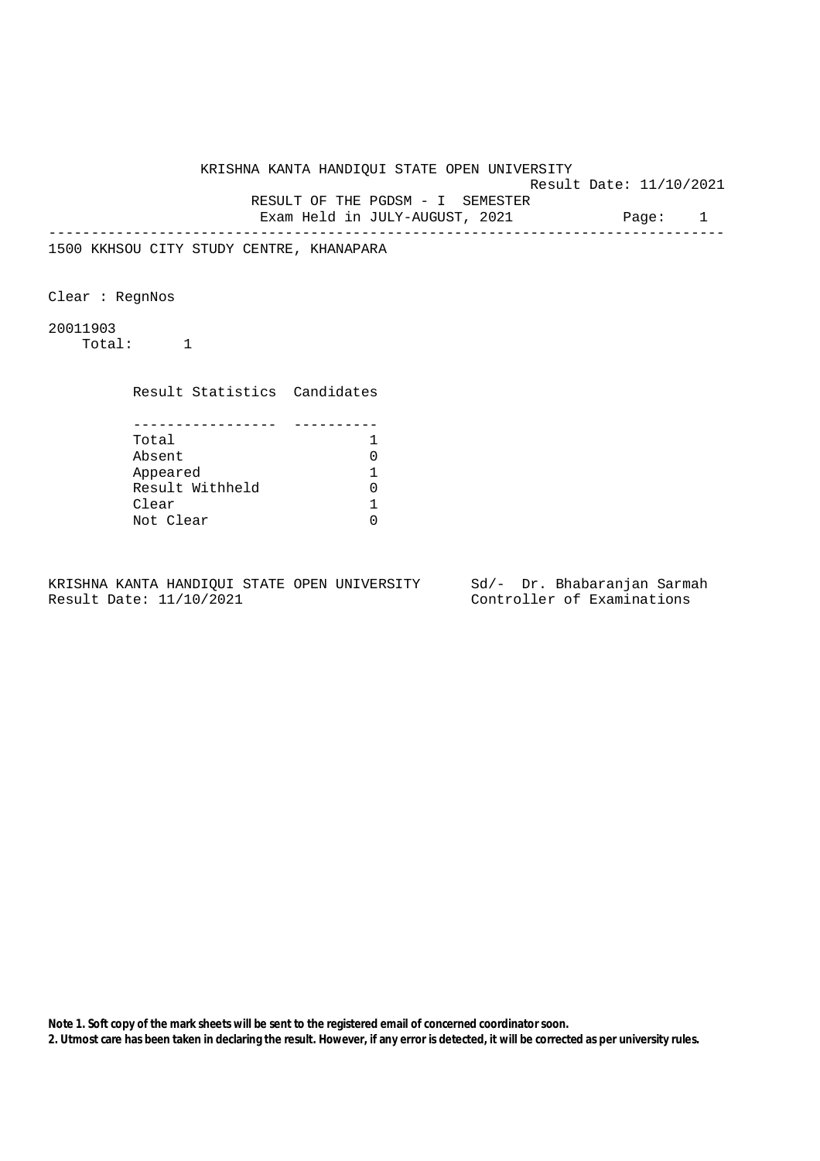KRISHNA KANTA HANDIQUI STATE OPEN UNIVERSITY

Result Date: 11/10/2021

 RESULT OF THE PGDSM - I SEMESTER Exam Held in JULY-AUGUST, 2021 Page: 1

--------------------------------------------------------------------------------

1500 KKHSOU CITY STUDY CENTRE, KHANAPARA

Clear : RegnNos

20011903 Total: 1

> Result Statistics Candidates ----------------- ---------- Total 1 Absent 0 Appeared 1 Result Withheld 0 Clear 1<br>Not Clear 1 Not Clear

KRISHNA KANTA HANDIQUI STATE OPEN UNIVERSITY Sd/- Dr. Bhabaranjan Sarmah Result Date: 11/10/2021 Controller of Examinations